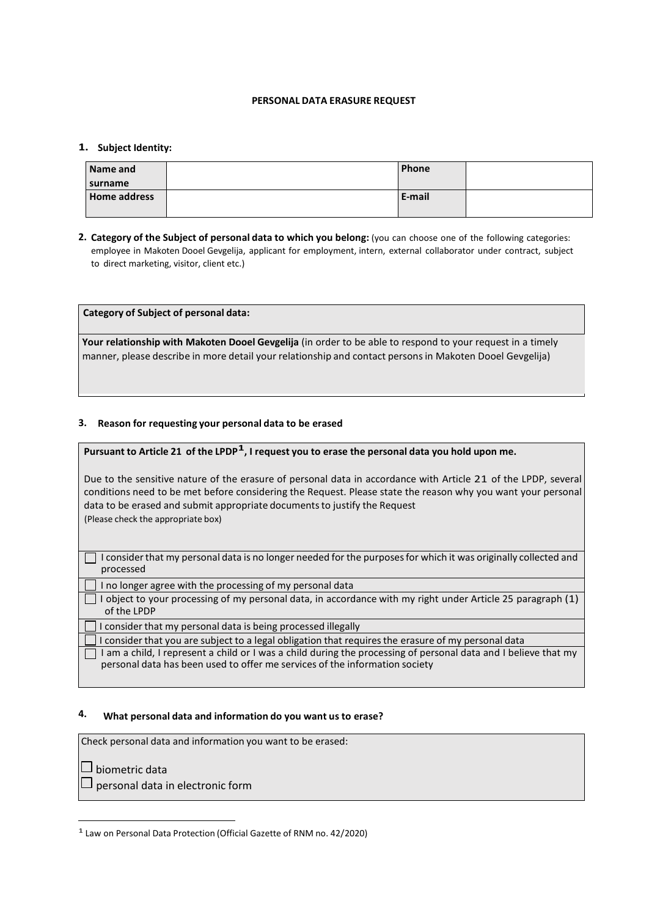### **PERSONAL DATA ERASURE REQUEST**

### **1. Subject Identity:**

| Name and            | Phone  |  |
|---------------------|--------|--|
| surname             |        |  |
| <b>Home address</b> | E-mail |  |
|                     |        |  |

**2. Category of the Subject of personal data to which you belong:** (you can choose one of the following categories: employee in Makoten Dooel Gevgelija, applicant for employment, intern, external collaborator under contract, subject to direct marketing, visitor, client etc.)

**Category of Subject of personal data:**

**Your relationship with Makoten Dooel Gevgelija** (in order to be able to respond to your request in a timely manner, please describe in more detail your relationship and contact personsin Makoten Dooel Gevgelija)

## **3. Reason for requesting your personal data to be erased**

# Pursuant to Article 21 of the LPDP<sup>1</sup>, I request you to erase the personal data you hold upon me.

Due to the sensitive nature of the erasure of personal data in accordance with Article 21 of the LPDP, several conditions need to be met before considering the Request. Please state the reason why you want your personal data to be erased and submit appropriate documents to justify the Request (Please check the appropriate box)

 $\Box$  I consider that my personal data is no longer needed for the purposes for which it was originally collected and processed

I no longer agree with the processing of my personal data

I object to your processing of my personal data, in accordance with my right under Article 25 paragraph (1) of the LPDP

 $\Box$  I consider that my personal data is being processed illegally

 $\Box$  I consider that you are subject to a legal obligation that requires the erasure of my personal data

 $\Box$  I am a child, I represent a child or I was a child during the processing of personal data and I believe that my personal data has been used to offer me services of the information society

## **4. What personal data and information do you want us to erase?**

Check personal data and information you want to be erased:

 $\Box$  biometric data

 $\Box$  personal data in electronic form

1 Law on Personal Data Protection (Official Gazette of RNM no. 42/2020)